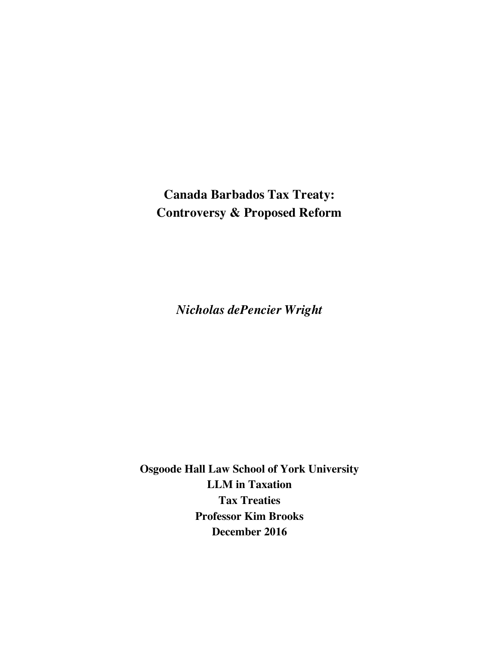**Canada Barbados Tax Treaty: Controversy & Proposed Reform**

*Nicholas dePencier Wright*

**Osgoode Hall Law School of York University LLM in Taxation Tax Treaties Professor Kim Brooks December 2016**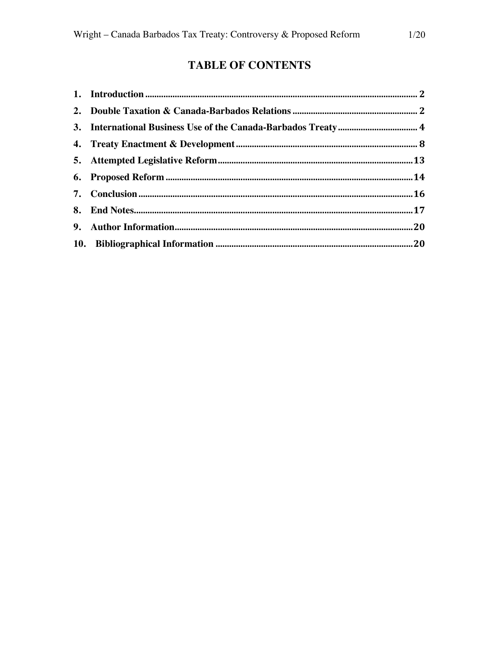# **TABLE OF CONTENTS**

| 3. International Business Use of the Canada-Barbados Treaty 4 |  |
|---------------------------------------------------------------|--|
|                                                               |  |
|                                                               |  |
|                                                               |  |
|                                                               |  |
|                                                               |  |
|                                                               |  |
|                                                               |  |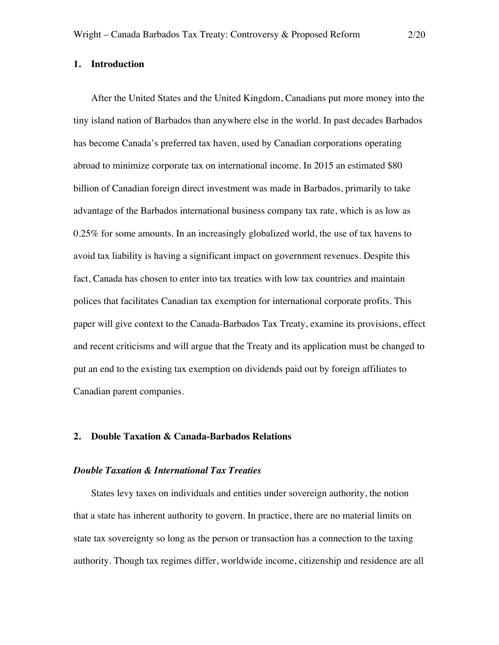#### **1. Introduction**

After the United States and the United Kingdom, Canadians put more money into the tiny island nation of Barbados than anywhere else in the world. In past decades Barbados has become Canada's preferred tax haven, used by Canadian corporations operating abroad to minimize corporate tax on international income. In 2015 an estimated \$80 billion of Canadian foreign direct investment was made in Barbados, primarily to take advantage of the Barbados international business company tax rate, which is as low as 0.25% for some amounts. In an increasingly globalized world, the use of tax havens to avoid tax liability is having a significant impact on government revenues. Despite this fact, Canada has chosen to enter into tax treaties with low tax countries and maintain polices that facilitates Canadian tax exemption for international corporate profits. This paper will give context to the Canada-Barbados Tax Treaty, examine its provisions, effect and recent criticisms and will argue that the Treaty and its application must be changed to put an end to the existing tax exemption on dividends paid out by foreign affiliates to Canadian parent companies.

## **2. Double Taxation & Canada-Barbados Relations**

# *Double Taxation & International Tax Treaties*

States levy taxes on individuals and entities under sovereign authority, the notion that a state has inherent authority to govern. In practice, there are no material limits on state tax sovereignty so long as the person or transaction has a connection to the taxing authority. Though tax regimes differ, worldwide income, citizenship and residence are all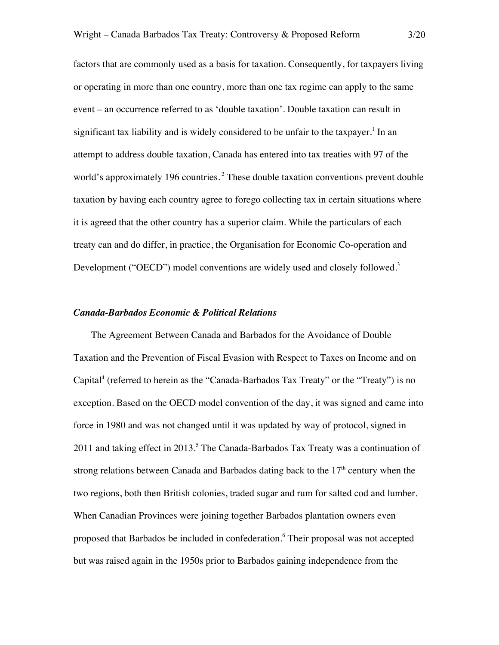factors that are commonly used as a basis for taxation. Consequently, for taxpayers living or operating in more than one country, more than one tax regime can apply to the same event – an occurrence referred to as 'double taxation'. Double taxation can result in significant tax liability and is widely considered to be unfair to the taxpayer.<sup>1</sup> In an attempt to address double taxation, Canada has entered into tax treaties with 97 of the world's approximately 196 countries.<sup>2</sup> These double taxation conventions prevent double taxation by having each country agree to forego collecting tax in certain situations where it is agreed that the other country has a superior claim. While the particulars of each treaty can and do differ, in practice, the Organisation for Economic Co-operation and Development ("OECD") model conventions are widely used and closely followed.<sup>3</sup>

#### *Canada-Barbados Economic & Political Relations*

The Agreement Between Canada and Barbados for the Avoidance of Double Taxation and the Prevention of Fiscal Evasion with Respect to Taxes on Income and on Capital<sup>4</sup> (referred to herein as the "Canada-Barbados Tax Treaty" or the "Treaty") is no exception. Based on the OECD model convention of the day, it was signed and came into force in 1980 and was not changed until it was updated by way of protocol, signed in  $2011$  and taking effect in  $2013<sup>5</sup>$ . The Canada-Barbados Tax Treaty was a continuation of strong relations between Canada and Barbados dating back to the  $17<sup>th</sup>$  century when the two regions, both then British colonies, traded sugar and rum for salted cod and lumber. When Canadian Provinces were joining together Barbados plantation owners even proposed that Barbados be included in confederation. <sup>6</sup> Their proposal was not accepted but was raised again in the 1950s prior to Barbados gaining independence from the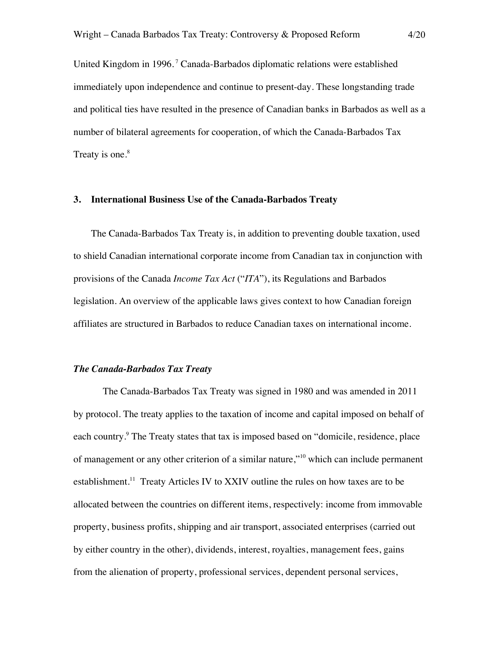United Kingdom in 1996.<sup>7</sup> Canada-Barbados diplomatic relations were established immediately upon independence and continue to present-day. These longstanding trade and political ties have resulted in the presence of Canadian banks in Barbados as well as a number of bilateral agreements for cooperation, of which the Canada-Barbados Tax Treaty is one. $8<sup>8</sup>$ 

#### **3. International Business Use of the Canada-Barbados Treaty**

The Canada-Barbados Tax Treaty is, in addition to preventing double taxation, used to shield Canadian international corporate income from Canadian tax in conjunction with provisions of the Canada *Income Tax Act* ("*ITA*"), its Regulations and Barbados legislation. An overview of the applicable laws gives context to how Canadian foreign affiliates are structured in Barbados to reduce Canadian taxes on international income.

#### *The Canada-Barbados Tax Treaty*

The Canada-Barbados Tax Treaty was signed in 1980 and was amended in 2011 by protocol. The treaty applies to the taxation of income and capital imposed on behalf of each country.<sup>9</sup> The Treaty states that tax is imposed based on "domicile, residence, place of management or any other criterion of a similar nature,"<sup>10</sup> which can include permanent establishment.<sup>11</sup> Treaty Articles IV to XXIV outline the rules on how taxes are to be allocated between the countries on different items, respectively: income from immovable property, business profits, shipping and air transport, associated enterprises (carried out by either country in the other), dividends, interest, royalties, management fees, gains from the alienation of property, professional services, dependent personal services,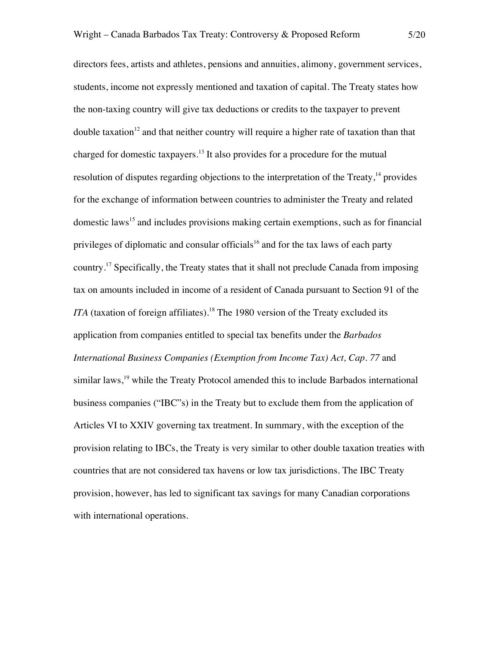directors fees, artists and athletes, pensions and annuities, alimony, government services, students, income not expressly mentioned and taxation of capital. The Treaty states how the non-taxing country will give tax deductions or credits to the taxpayer to prevent double taxation<sup>12</sup> and that neither country will require a higher rate of taxation than that charged for domestic taxpayers.<sup>13</sup> It also provides for a procedure for the mutual resolution of disputes regarding objections to the interpretation of the Treaty,<sup>14</sup> provides for the exchange of information between countries to administer the Treaty and related domestic laws<sup>15</sup> and includes provisions making certain exemptions, such as for financial privileges of diplomatic and consular officials<sup>16</sup> and for the tax laws of each party country.<sup>17</sup> Specifically, the Treaty states that it shall not preclude Canada from imposing tax on amounts included in income of a resident of Canada pursuant to Section 91 of the *ITA* (taxation of foreign affiliates).<sup>18</sup> The 1980 version of the Treaty excluded its application from companies entitled to special tax benefits under the *Barbados International Business Companies (Exemption from Income Tax) Act, Cap. 77* and similar laws,<sup>19</sup> while the Treaty Protocol amended this to include Barbados international business companies ("IBC"s) in the Treaty but to exclude them from the application of Articles VI to XXIV governing tax treatment. In summary, with the exception of the provision relating to IBCs, the Treaty is very similar to other double taxation treaties with countries that are not considered tax havens or low tax jurisdictions. The IBC Treaty provision, however, has led to significant tax savings for many Canadian corporations with international operations.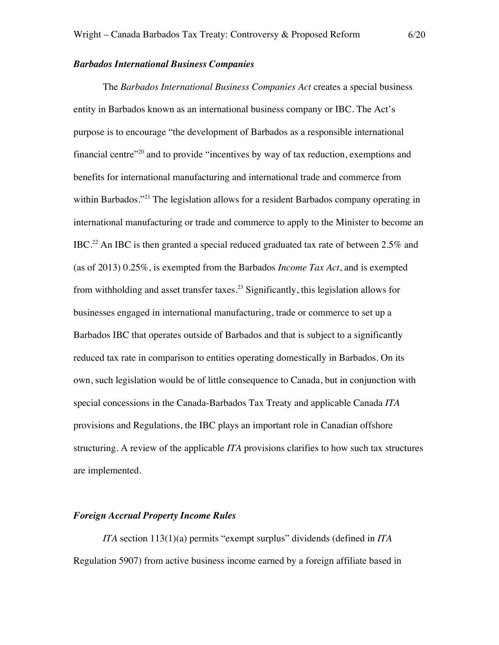# *Barbados International Business Companies*

The *Barbados International Business Companies Act* creates a special business entity in Barbados known as an international business company or IBC. The Act's purpose is to encourage "the development of Barbados as a responsible international financial centre<sup> $20$ </sup> and to provide "incentives by way of tax reduction, exemptions and benefits for international manufacturing and international trade and commerce from within Barbados."<sup>21</sup> The legislation allows for a resident Barbados company operating in international manufacturing or trade and commerce to apply to the Minister to become an IBC.<sup>22</sup> An IBC is then granted a special reduced graduated tax rate of between 2.5% and (as of 2013) 0.25%, is exempted from the Barbados *Income Tax Act*, and is exempted from withholding and asset transfer taxes.<sup>23</sup> Significantly, this legislation allows for businesses engaged in international manufacturing, trade or commerce to set up a Barbados IBC that operates outside of Barbados and that is subject to a significantly reduced tax rate in comparison to entities operating domestically in Barbados. On its own, such legislation would be of little consequence to Canada, but in conjunction with special concessions in the Canada-Barbados Tax Treaty and applicable Canada *ITA* provisions and Regulations, the IBC plays an important role in Canadian offshore structuring. A review of the applicable *ITA* provisions clarifies to how such tax structures are implemented.

## *Foreign Accrual Property Income Rules*

*ITA* section 113(1)(a) permits "exempt surplus" dividends (defined in *ITA*  Regulation 5907) from active business income earned by a foreign affiliate based in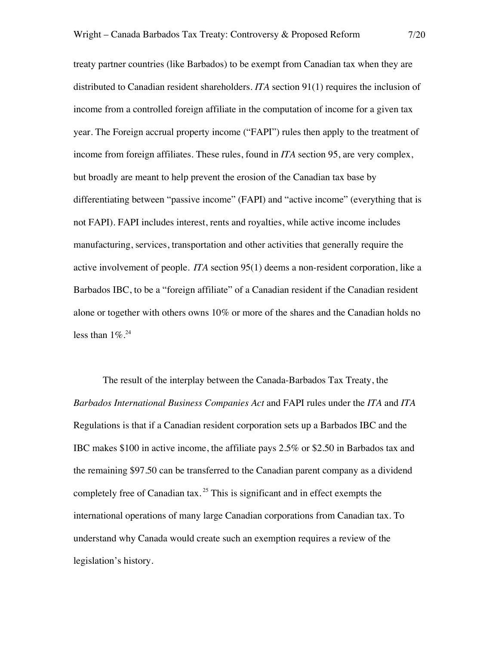treaty partner countries (like Barbados) to be exempt from Canadian tax when they are distributed to Canadian resident shareholders. *ITA* section 91(1) requires the inclusion of income from a controlled foreign affiliate in the computation of income for a given tax year. The Foreign accrual property income ("FAPI") rules then apply to the treatment of income from foreign affiliates. These rules, found in *ITA* section 95, are very complex, but broadly are meant to help prevent the erosion of the Canadian tax base by differentiating between "passive income" (FAPI) and "active income" (everything that is not FAPI). FAPI includes interest, rents and royalties, while active income includes manufacturing, services, transportation and other activities that generally require the active involvement of people. *ITA* section 95(1) deems a non-resident corporation, like a Barbados IBC, to be a "foreign affiliate" of a Canadian resident if the Canadian resident alone or together with others owns 10% or more of the shares and the Canadian holds no less than  $1\%$ <sup>24</sup>

The result of the interplay between the Canada-Barbados Tax Treaty, the *Barbados International Business Companies Act* and FAPI rules under the *ITA* and *ITA* Regulations is that if a Canadian resident corporation sets up a Barbados IBC and the IBC makes \$100 in active income, the affiliate pays 2.5% or \$2.50 in Barbados tax and the remaining \$97.50 can be transferred to the Canadian parent company as a dividend completely free of Canadian tax.<sup>25</sup> This is significant and in effect exempts the international operations of many large Canadian corporations from Canadian tax. To understand why Canada would create such an exemption requires a review of the legislation's history.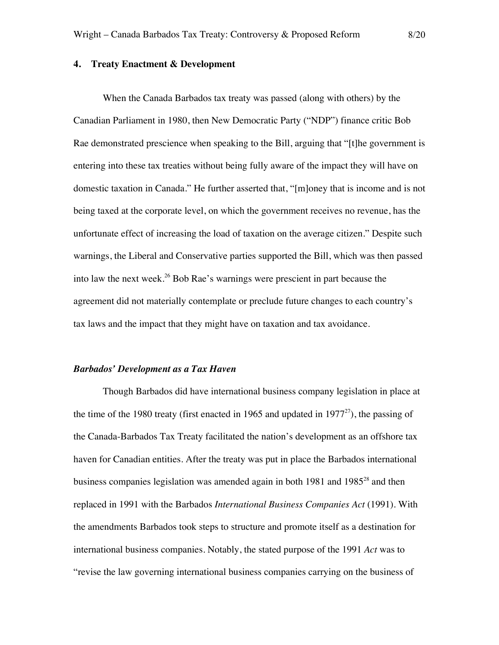# **4. Treaty Enactment & Development**

When the Canada Barbados tax treaty was passed (along with others) by the Canadian Parliament in 1980, then New Democratic Party ("NDP") finance critic Bob Rae demonstrated prescience when speaking to the Bill, arguing that "[t]he government is entering into these tax treaties without being fully aware of the impact they will have on domestic taxation in Canada." He further asserted that, "[m]oney that is income and is not being taxed at the corporate level, on which the government receives no revenue, has the unfortunate effect of increasing the load of taxation on the average citizen." Despite such warnings, the Liberal and Conservative parties supported the Bill, which was then passed into law the next week.<sup>26</sup> Bob Rae's warnings were prescient in part because the agreement did not materially contemplate or preclude future changes to each country's tax laws and the impact that they might have on taxation and tax avoidance.

#### *Barbados' Development as a Tax Haven*

Though Barbados did have international business company legislation in place at the time of the 1980 treaty (first enacted in 1965 and updated in  $1977^{27}$ ), the passing of the Canada-Barbados Tax Treaty facilitated the nation's development as an offshore tax haven for Canadian entities. After the treaty was put in place the Barbados international business companies legislation was amended again in both 1981 and  $1985^{28}$  and then replaced in 1991 with the Barbados *International Business Companies Act* (1991). With the amendments Barbados took steps to structure and promote itself as a destination for international business companies. Notably, the stated purpose of the 1991 *Act* was to "revise the law governing international business companies carrying on the business of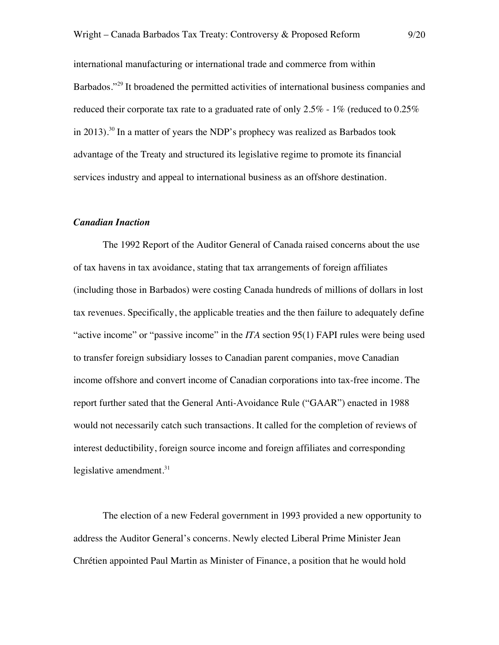international manufacturing or international trade and commerce from within Barbados."<sup>29</sup> It broadened the permitted activities of international business companies and reduced their corporate tax rate to a graduated rate of only  $2.5\%$  - 1% (reduced to 0.25%) in 2013). <sup>30</sup> In a matter of years the NDP's prophecy was realized as Barbados took advantage of the Treaty and structured its legislative regime to promote its financial services industry and appeal to international business as an offshore destination.

#### *Canadian Inaction*

The 1992 Report of the Auditor General of Canada raised concerns about the use of tax havens in tax avoidance, stating that tax arrangements of foreign affiliates (including those in Barbados) were costing Canada hundreds of millions of dollars in lost tax revenues. Specifically, the applicable treaties and the then failure to adequately define "active income" or "passive income" in the *ITA* section 95(1) FAPI rules were being used to transfer foreign subsidiary losses to Canadian parent companies, move Canadian income offshore and convert income of Canadian corporations into tax-free income. The report further sated that the General Anti-Avoidance Rule ("GAAR") enacted in 1988 would not necessarily catch such transactions. It called for the completion of reviews of interest deductibility, foreign source income and foreign affiliates and corresponding legislative amendment. $31$ 

The election of a new Federal government in 1993 provided a new opportunity to address the Auditor General's concerns. Newly elected Liberal Prime Minister Jean Chrétien appointed Paul Martin as Minister of Finance, a position that he would hold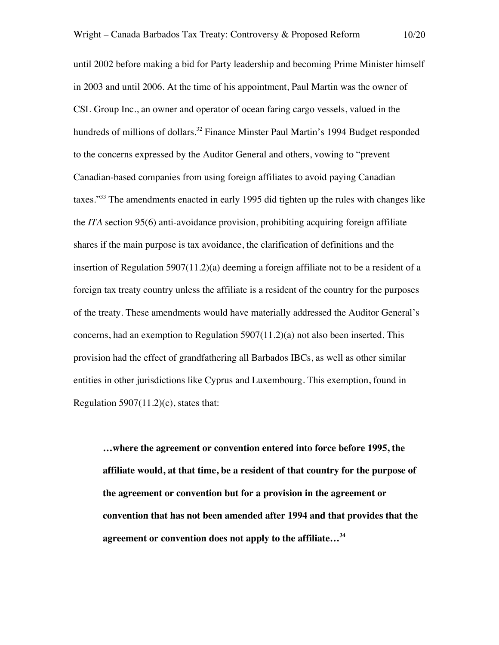until 2002 before making a bid for Party leadership and becoming Prime Minister himself in 2003 and until 2006. At the time of his appointment, Paul Martin was the owner of CSL Group Inc., an owner and operator of ocean faring cargo vessels, valued in the hundreds of millions of dollars.<sup>32</sup> Finance Minster Paul Martin's 1994 Budget responded to the concerns expressed by the Auditor General and others, vowing to "prevent Canadian-based companies from using foreign affiliates to avoid paying Canadian taxes."33 The amendments enacted in early 1995 did tighten up the rules with changes like the *ITA* section 95(6) anti-avoidance provision, prohibiting acquiring foreign affiliate shares if the main purpose is tax avoidance, the clarification of definitions and the insertion of Regulation 5907(11.2)(a) deeming a foreign affiliate not to be a resident of a foreign tax treaty country unless the affiliate is a resident of the country for the purposes of the treaty. These amendments would have materially addressed the Auditor General's concerns, had an exemption to Regulation 5907(11.2)(a) not also been inserted. This provision had the effect of grandfathering all Barbados IBCs, as well as other similar entities in other jurisdictions like Cyprus and Luxembourg. This exemption, found in Regulation  $5907(11.2)(c)$ , states that:

**…where the agreement or convention entered into force before 1995, the affiliate would, at that time, be a resident of that country for the purpose of the agreement or convention but for a provision in the agreement or convention that has not been amended after 1994 and that provides that the agreement or convention does not apply to the affiliate…34**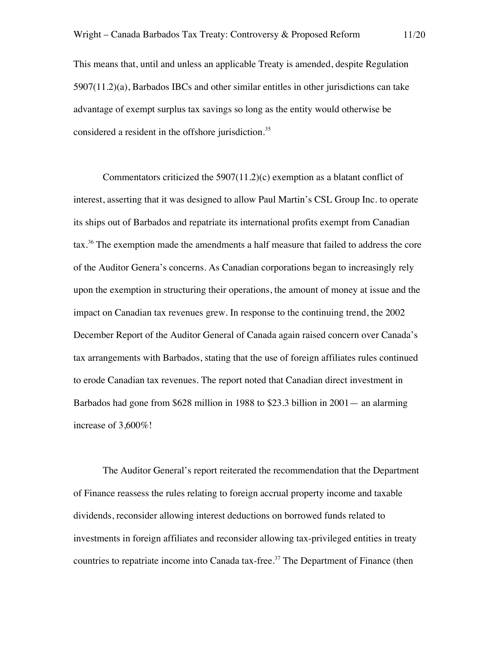This means that, until and unless an applicable Treaty is amended, despite Regulation 5907(11.2)(a), Barbados IBCs and other similar entitles in other jurisdictions can take advantage of exempt surplus tax savings so long as the entity would otherwise be considered a resident in the offshore jurisdiction. 35

Commentators criticized the 5907(11.2)(c) exemption as a blatant conflict of interest, asserting that it was designed to allow Paul Martin's CSL Group Inc. to operate its ships out of Barbados and repatriate its international profits exempt from Canadian tax.<sup>36</sup> The exemption made the amendments a half measure that failed to address the core of the Auditor Genera's concerns. As Canadian corporations began to increasingly rely upon the exemption in structuring their operations, the amount of money at issue and the impact on Canadian tax revenues grew. In response to the continuing trend, the 2002 December Report of the Auditor General of Canada again raised concern over Canada's tax arrangements with Barbados, stating that the use of foreign affiliates rules continued to erode Canadian tax revenues. The report noted that Canadian direct investment in Barbados had gone from \$628 million in 1988 to \$23.3 billion in 2001— an alarming increase of 3,600%!

The Auditor General's report reiterated the recommendation that the Department of Finance reassess the rules relating to foreign accrual property income and taxable dividends, reconsider allowing interest deductions on borrowed funds related to investments in foreign affiliates and reconsider allowing tax-privileged entities in treaty countries to repatriate income into Canada tax-free.<sup>37</sup> The Department of Finance (then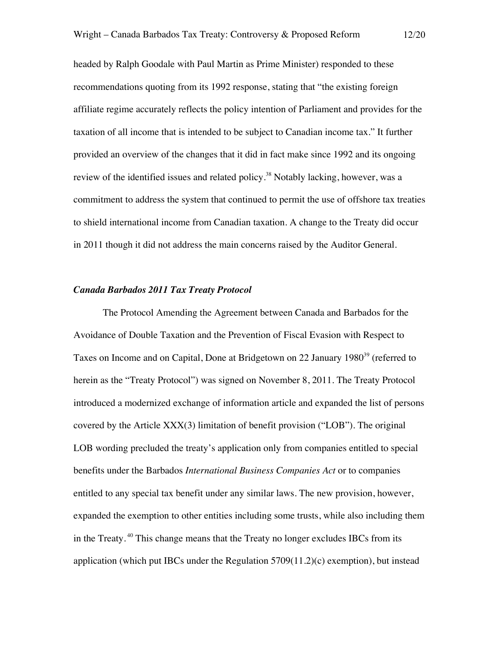headed by Ralph Goodale with Paul Martin as Prime Minister) responded to these recommendations quoting from its 1992 response, stating that "the existing foreign affiliate regime accurately reflects the policy intention of Parliament and provides for the taxation of all income that is intended to be subject to Canadian income tax." It further provided an overview of the changes that it did in fact make since 1992 and its ongoing review of the identified issues and related policy.<sup>38</sup> Notably lacking, however, was a commitment to address the system that continued to permit the use of offshore tax treaties to shield international income from Canadian taxation. A change to the Treaty did occur in 2011 though it did not address the main concerns raised by the Auditor General.

#### *Canada Barbados 2011 Tax Treaty Protocol*

The Protocol Amending the Agreement between Canada and Barbados for the Avoidance of Double Taxation and the Prevention of Fiscal Evasion with Respect to Taxes on Income and on Capital, Done at Bridgetown on 22 January 1980<sup>39</sup> (referred to herein as the "Treaty Protocol") was signed on November 8, 2011. The Treaty Protocol introduced a modernized exchange of information article and expanded the list of persons covered by the Article XXX(3) limitation of benefit provision ("LOB"). The original LOB wording precluded the treaty's application only from companies entitled to special benefits under the Barbados *International Business Companies Act* or to companies entitled to any special tax benefit under any similar laws. The new provision, however, expanded the exemption to other entities including some trusts, while also including them in the Treaty.<sup>40</sup> This change means that the Treaty no longer excludes IBCs from its application (which put IBCs under the Regulation 5709(11.2)(c) exemption), but instead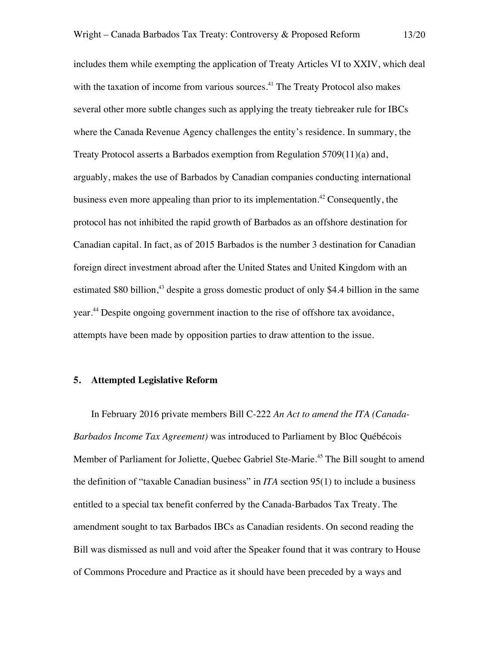includes them while exempting the application of Treaty Articles VI to XXIV, which deal with the taxation of income from various sources.<sup>41</sup> The Treaty Protocol also makes several other more subtle changes such as applying the treaty tiebreaker rule for IBCs where the Canada Revenue Agency challenges the entity's residence. In summary, the Treaty Protocol asserts a Barbados exemption from Regulation 5709(11)(a) and, arguably, makes the use of Barbados by Canadian companies conducting international business even more appealing than prior to its implementation.<sup>42</sup> Consequently, the protocol has not inhibited the rapid growth of Barbados as an offshore destination for Canadian capital. In fact, as of 2015 Barbados is the number 3 destination for Canadian foreign direct investment abroad after the United States and United Kingdom with an estimated \$80 billion,<sup>43</sup> despite a gross domestic product of only \$4.4 billion in the same year.<sup>44</sup> Despite ongoing government inaction to the rise of offshore tax avoidance, attempts have been made by opposition parties to draw attention to the issue.

# **5. Attempted Legislative Reform**

In February 2016 private members Bill C-222 *An Act to amend the ITA (Canada-Barbados Income Tax Agreement)* was introduced to Parliament by Bloc Québécois Member of Parliament for Joliette, Quebec Gabriel Ste-Marie.<sup>45</sup> The Bill sought to amend the definition of "taxable Canadian business" in *ITA* section 95(1) to include a business entitled to a special tax benefit conferred by the Canada-Barbados Tax Treaty. The amendment sought to tax Barbados IBCs as Canadian residents. On second reading the Bill was dismissed as null and void after the Speaker found that it was contrary to House of Commons Procedure and Practice as it should have been preceded by a ways and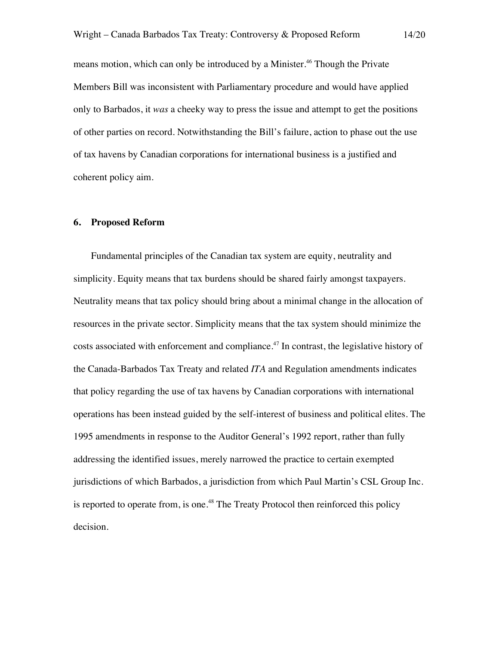means motion, which can only be introduced by a Minister.<sup>46</sup> Though the Private Members Bill was inconsistent with Parliamentary procedure and would have applied only to Barbados, it *was* a cheeky way to press the issue and attempt to get the positions of other parties on record. Notwithstanding the Bill's failure, action to phase out the use of tax havens by Canadian corporations for international business is a justified and coherent policy aim.

## **6. Proposed Reform**

Fundamental principles of the Canadian tax system are equity, neutrality and simplicity. Equity means that tax burdens should be shared fairly amongst taxpayers. Neutrality means that tax policy should bring about a minimal change in the allocation of resources in the private sector. Simplicity means that the tax system should minimize the costs associated with enforcement and compliance.<sup>47</sup> In contrast, the legislative history of the Canada-Barbados Tax Treaty and related *ITA* and Regulation amendments indicates that policy regarding the use of tax havens by Canadian corporations with international operations has been instead guided by the self-interest of business and political elites. The 1995 amendments in response to the Auditor General's 1992 report, rather than fully addressing the identified issues, merely narrowed the practice to certain exempted jurisdictions of which Barbados, a jurisdiction from which Paul Martin's CSL Group Inc. is reported to operate from, is one.<sup>48</sup> The Treaty Protocol then reinforced this policy decision.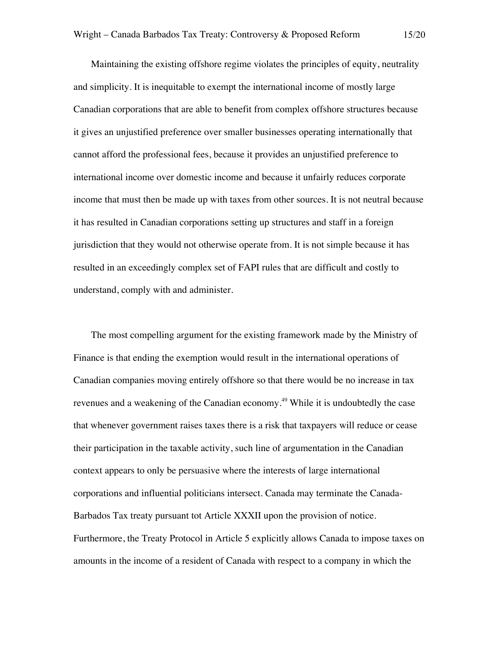Maintaining the existing offshore regime violates the principles of equity, neutrality and simplicity. It is inequitable to exempt the international income of mostly large Canadian corporations that are able to benefit from complex offshore structures because it gives an unjustified preference over smaller businesses operating internationally that cannot afford the professional fees, because it provides an unjustified preference to international income over domestic income and because it unfairly reduces corporate income that must then be made up with taxes from other sources. It is not neutral because it has resulted in Canadian corporations setting up structures and staff in a foreign jurisdiction that they would not otherwise operate from. It is not simple because it has resulted in an exceedingly complex set of FAPI rules that are difficult and costly to understand, comply with and administer.

The most compelling argument for the existing framework made by the Ministry of Finance is that ending the exemption would result in the international operations of Canadian companies moving entirely offshore so that there would be no increase in tax revenues and a weakening of the Canadian economy.<sup>49</sup> While it is undoubtedly the case that whenever government raises taxes there is a risk that taxpayers will reduce or cease their participation in the taxable activity, such line of argumentation in the Canadian context appears to only be persuasive where the interests of large international corporations and influential politicians intersect. Canada may terminate the Canada-Barbados Tax treaty pursuant tot Article XXXII upon the provision of notice. Furthermore, the Treaty Protocol in Article 5 explicitly allows Canada to impose taxes on amounts in the income of a resident of Canada with respect to a company in which the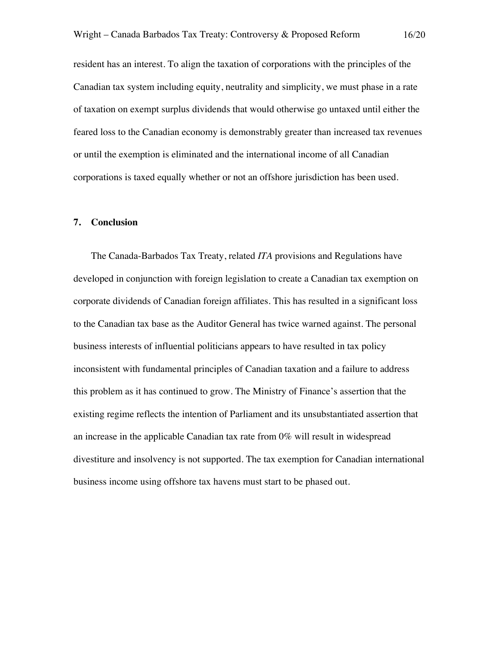resident has an interest. To align the taxation of corporations with the principles of the Canadian tax system including equity, neutrality and simplicity, we must phase in a rate of taxation on exempt surplus dividends that would otherwise go untaxed until either the feared loss to the Canadian economy is demonstrably greater than increased tax revenues or until the exemption is eliminated and the international income of all Canadian corporations is taxed equally whether or not an offshore jurisdiction has been used.

#### **7. Conclusion**

The Canada-Barbados Tax Treaty, related *ITA* provisions and Regulations have developed in conjunction with foreign legislation to create a Canadian tax exemption on corporate dividends of Canadian foreign affiliates. This has resulted in a significant loss to the Canadian tax base as the Auditor General has twice warned against. The personal business interests of influential politicians appears to have resulted in tax policy inconsistent with fundamental principles of Canadian taxation and a failure to address this problem as it has continued to grow. The Ministry of Finance's assertion that the existing regime reflects the intention of Parliament and its unsubstantiated assertion that an increase in the applicable Canadian tax rate from 0% will result in widespread divestiture and insolvency is not supported. The tax exemption for Canadian international business income using offshore tax havens must start to be phased out.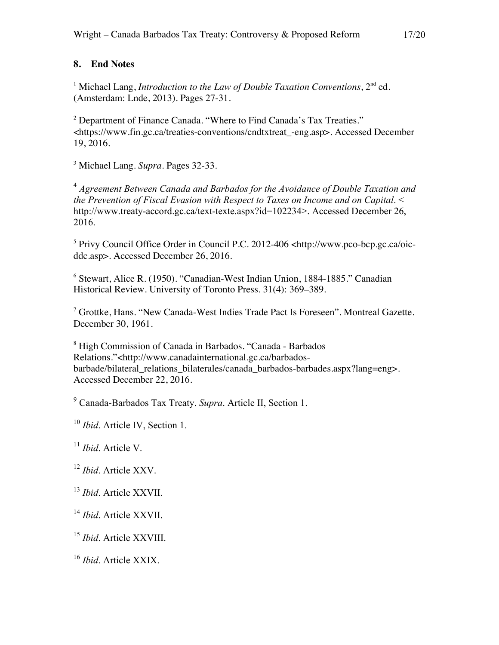# **8. End Notes**

<sup>1</sup> Michael Lang, *Introduction to the Law of Double Taxation Conventions*,  $2<sup>nd</sup>$  ed. (Amsterdam: Lnde, 2013). Pages 27-31.

<sup>2</sup> Department of Finance Canada. "Where to Find Canada's Tax Treaties." <https://www.fin.gc.ca/treaties-conventions/cndtxtreat\_-eng.asp>. Accessed December 19, 2016.

<sup>3</sup> Michael Lang. *Supra*. Pages 32-33.

<sup>4</sup> *Agreement Between Canada and Barbados for the Avoidance of Double Taxation and the Prevention of Fiscal Evasion with Respect to Taxes on Income and on Capital*. < http://www.treaty-accord.gc.ca/text-texte.aspx?id=102234>. Accessed December 26, 2016.

<sup>5</sup> Privy Council Office Order in Council P.C. 2012-406 <http://www.pco-bcp.gc.ca/oicddc.asp>. Accessed December 26, 2016.

<sup>6</sup> Stewart, Alice R. (1950). "Canadian-West Indian Union, 1884-1885." Canadian Historical Review. University of Toronto Press. 31(4): 369–389.

<sup>7</sup> Grottke, Hans. "New Canada-West Indies Trade Pact Is Foreseen". Montreal Gazette. December 30, 1961.

<sup>8</sup> High Commission of Canada in Barbados. "Canada - Barbados Relations."<http://www.canadainternational.gc.ca/barbadosbarbade/bilateral\_relations\_bilaterales/canada\_barbados-barbades.aspx?lang=eng>. Accessed December 22, 2016.

<sup>9</sup> Canada-Barbados Tax Treaty. *Supra*. Article II, Section 1.

<sup>10</sup> *Ibid*. Article IV, Section 1.

<sup>11</sup> *Ibid*. Article V.

<sup>12</sup> *Ibid*. Article XXV.

<sup>13</sup> *Ibid*. Article XXVII.

<sup>14</sup> *Ibid*. Article XXVII.

<sup>15</sup> *Ibid*. Article XXVIII.

<sup>16</sup> *Ibid*. Article XXIX.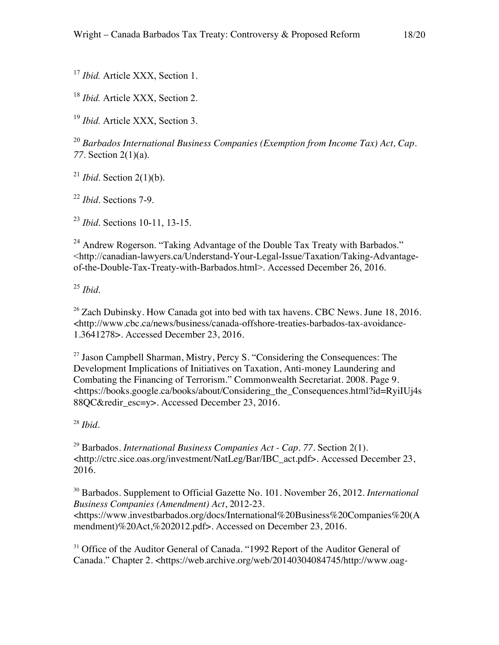<sup>17</sup> *Ibid.* Article XXX, Section 1.

<sup>18</sup> *Ibid.* Article XXX, Section 2.

<sup>19</sup> *Ibid.* Article XXX, Section 3.

<sup>20</sup> *Barbados International Business Companies (Exemption from Income Tax) Act, Cap. 77*. Section 2(1)(a).

 $^{21}$  *Ibid.* Section 2(1)(b).

<sup>22</sup> *Ibid*. Sections 7-9.

<sup>23</sup> *Ibid*. Sections 10-11, 13-15.

<sup>24</sup> Andrew Rogerson. "Taking Advantage of the Double Tax Treaty with Barbados." <http://canadian-lawyers.ca/Understand-Your-Legal-Issue/Taxation/Taking-Advantageof-the-Double-Tax-Treaty-with-Barbados.html>. Accessed December 26, 2016.

<sup>25</sup> *Ibid*.

 $26$  Zach Dubinsky. How Canada got into bed with tax havens. CBC News. June 18, 2016. <http://www.cbc.ca/news/business/canada-offshore-treaties-barbados-tax-avoidance-1.3641278>. Accessed December 23, 2016.

 $27$  Jason Campbell Sharman, Mistry, Percy S. "Considering the Consequences: The Development Implications of Initiatives on Taxation, Anti-money Laundering and Combating the Financing of Terrorism." Commonwealth Secretariat. 2008. Page 9. <https://books.google.ca/books/about/Considering\_the\_Consequences.html?id=RyiIUj4s 88QC&redir\_esc=y>. Accessed December 23, 2016.

<sup>28</sup> *Ibid*.

<sup>29</sup> Barbados. *International Business Companies Act - Cap. 77*. Section 2(1). <http://ctrc.sice.oas.org/investment/NatLeg/Bar/IBC\_act.pdf>. Accessed December 23, 2016.

<sup>30</sup> Barbados. Supplement to Official Gazette No. 101. November 26, 2012. *International Business Companies (Amendment) Act*, 2012-23.

<https://www.investbarbados.org/docs/International%20Business%20Companies%20(A mendment)%20Act,%202012.pdf>. Accessed on December 23, 2016.

<sup>31</sup> Office of the Auditor General of Canada. "1992 Report of the Auditor General of Canada." Chapter 2. <https://web.archive.org/web/20140304084745/http://www.oag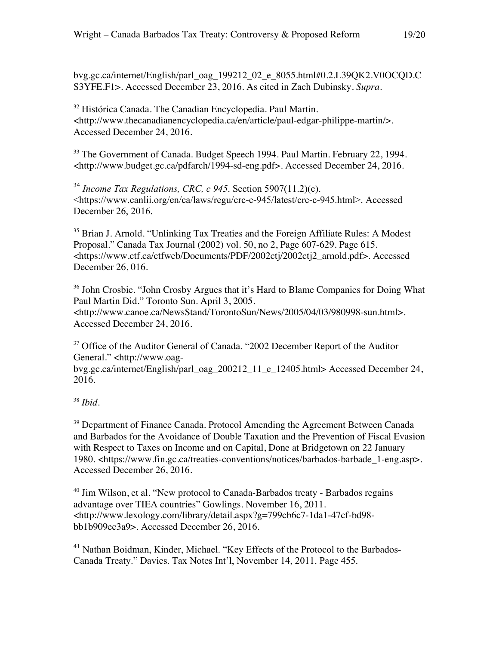bvg.gc.ca/internet/English/parl\_oag\_199212\_02\_e\_8055.html#0.2.L39QK2.V0OCQD.C S3YFE.F1>. Accessed December 23, 2016. As cited in Zach Dubinsky. *Supra*.

<sup>32</sup> Histórica Canada. The Canadian Encyclopedia. Paul Martin. <http://www.thecanadianencyclopedia.ca/en/article/paul-edgar-philippe-martin/>. Accessed December 24, 2016.

 $33$  The Government of Canada. Budget Speech 1994. Paul Martin. February 22, 1994. <http://www.budget.gc.ca/pdfarch/1994-sd-eng.pdf>. Accessed December 24, 2016.

<sup>34</sup> *Income Tax Regulations, CRC, c 945*. Section 5907(11.2)(c). <https://www.canlii.org/en/ca/laws/regu/crc-c-945/latest/crc-c-945.html>. Accessed December 26, 2016.

<sup>35</sup> Brian J. Arnold. "Unlinking Tax Treaties and the Foreign Affiliate Rules: A Modest Proposal." Canada Tax Journal (2002) vol. 50, no 2, Page 607-629. Page 615. <https://www.ctf.ca/ctfweb/Documents/PDF/2002ctj/2002ctj2\_arnold.pdf>. Accessed December 26, 016.

<sup>36</sup> John Crosbie. "John Crosby Argues that it's Hard to Blame Companies for Doing What Paul Martin Did." Toronto Sun. April 3, 2005. <http://www.canoe.ca/NewsStand/TorontoSun/News/2005/04/03/980998-sun.html>. Accessed December 24, 2016.

 $37$  Office of the Auditor General of Canada. "2002 December Report of the Auditor General." <http://www.oag-

bvg.gc.ca/internet/English/parl\_oag\_200212\_11\_e\_12405.html> Accessed December 24, 2016.

<sup>38</sup> *Ibid*.

<sup>39</sup> Department of Finance Canada. Protocol Amending the Agreement Between Canada and Barbados for the Avoidance of Double Taxation and the Prevention of Fiscal Evasion with Respect to Taxes on Income and on Capital, Done at Bridgetown on 22 January 1980. <https://www.fin.gc.ca/treaties-conventions/notices/barbados-barbade\_1-eng.asp>. Accessed December 26, 2016.

<sup>40</sup> Jim Wilson, et al. "New protocol to Canada-Barbados treaty - Barbados regains advantage over TIEA countries" Gowlings. November 16, 2011. <http://www.lexology.com/library/detail.aspx?g=799cb6c7-1da1-47cf-bd98 bb1b909ec3a9>. Accessed December 26, 2016.

<sup>41</sup> Nathan Boidman, Kinder, Michael. "Key Effects of the Protocol to the Barbados-Canada Treaty." Davies. Tax Notes Int'l, November 14, 2011. Page 455.